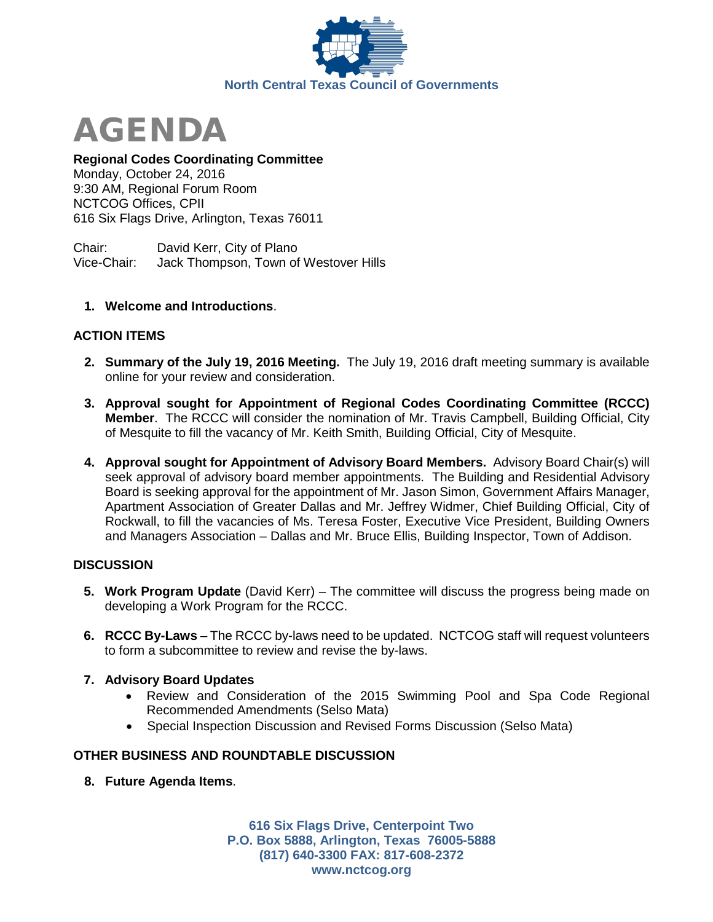

AGENDA

## **Regional Codes Coordinating Committee**

Monday, October 24, 2016 9:30 AM, Regional Forum Room NCTCOG Offices, CPII 616 Six Flags Drive, Arlington, Texas 76011

Chair: David Kerr, City of Plano Vice-Chair: Jack Thompson, Town of Westover Hills

### **1. Welcome and Introductions**.

### **ACTION ITEMS**

- **2. Summary of the July 19, 2016 Meeting.** The July 19, 2016 draft meeting summary is available online for your review and consideration.
- **3. Approval sought for Appointment of Regional Codes Coordinating Committee (RCCC) Member**. The RCCC will consider the nomination of Mr. Travis Campbell, Building Official, City of Mesquite to fill the vacancy of Mr. Keith Smith, Building Official, City of Mesquite.
- **4. Approval sought for Appointment of Advisory Board Members.** Advisory Board Chair(s) will seek approval of advisory board member appointments. The Building and Residential Advisory Board is seeking approval for the appointment of Mr. Jason Simon, Government Affairs Manager, Apartment Association of Greater Dallas and Mr. Jeffrey Widmer, Chief Building Official, City of Rockwall, to fill the vacancies of Ms. Teresa Foster, Executive Vice President, Building Owners and Managers Association – Dallas and Mr. Bruce Ellis, Building Inspector, Town of Addison.

### **DISCUSSION**

- **5. Work Program Update** (David Kerr) The committee will discuss the progress being made on developing a Work Program for the RCCC.
- **6. RCCC By-Laws**  The RCCC by-laws need to be updated. NCTCOG staff will request volunteers to form a subcommittee to review and revise the by-laws.

### **7. Advisory Board Updates**

- Review and Consideration of the 2015 Swimming Pool and Spa Code Regional Recommended Amendments (Selso Mata)
- Special Inspection Discussion and Revised Forms Discussion (Selso Mata)

# **OTHER BUSINESS AND ROUNDTABLE DISCUSSION**

**8. Future Agenda Items**.

**616 Six Flags Drive, Centerpoint Two P.O. Box 5888, Arlington, Texas 76005-5888 (817) 640-3300 FAX: 817-608-2372 www.nctcog.org**